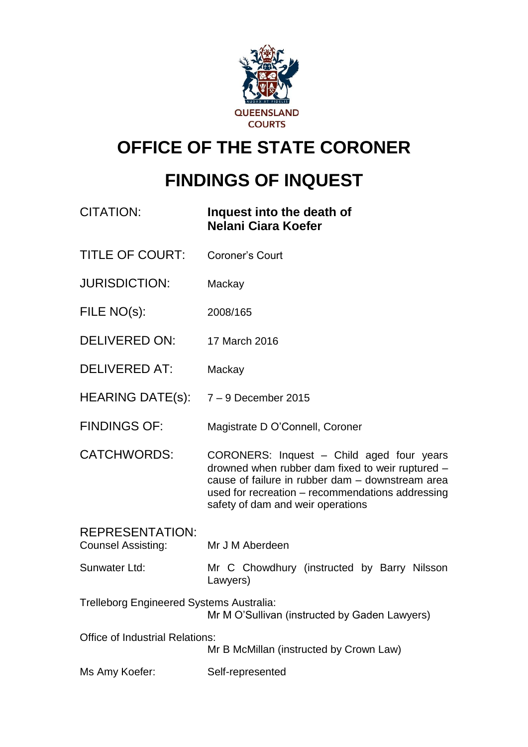

# **OFFICE OF THE STATE CORONER**

# **FINDINGS OF INQUEST**

| <b>CITATION:</b>                                                                                 | Inquest into the death of<br>Nelani Ciara Koefer                                                                                                                                                                                           |
|--------------------------------------------------------------------------------------------------|--------------------------------------------------------------------------------------------------------------------------------------------------------------------------------------------------------------------------------------------|
| <b>TITLE OF COURT:</b>                                                                           | <b>Coroner's Court</b>                                                                                                                                                                                                                     |
| <b>JURISDICTION:</b>                                                                             | Mackay                                                                                                                                                                                                                                     |
| FILE NO(s):                                                                                      | 2008/165                                                                                                                                                                                                                                   |
| <b>DELIVERED ON:</b>                                                                             | 17 March 2016                                                                                                                                                                                                                              |
| <b>DELIVERED AT:</b>                                                                             | Mackay                                                                                                                                                                                                                                     |
| HEARING DATE(s): 7 - 9 December 2015                                                             |                                                                                                                                                                                                                                            |
| <b>FINDINGS OF:</b>                                                                              | Magistrate D O'Connell, Coroner                                                                                                                                                                                                            |
| <b>CATCHWORDS:</b>                                                                               | CORONERS: Inquest - Child aged four years<br>drowned when rubber dam fixed to weir ruptured -<br>cause of failure in rubber dam - downstream area<br>used for recreation - recommendations addressing<br>safety of dam and weir operations |
| <b>REPRESENTATION:</b><br><b>Counsel Assisting:</b>                                              | Mr J M Aberdeen                                                                                                                                                                                                                            |
| Sunwater Ltd:                                                                                    | Mr C Chowdhury (instructed by Barry Nilsson<br>Lawyers)                                                                                                                                                                                    |
| <b>Trelleborg Engineered Systems Australia:</b><br>Mr M O'Sullivan (instructed by Gaden Lawyers) |                                                                                                                                                                                                                                            |
| <b>Office of Industrial Relations:</b>                                                           | Mr B McMillan (instructed by Crown Law)                                                                                                                                                                                                    |
| Ms Amy Koefer:                                                                                   | Self-represented                                                                                                                                                                                                                           |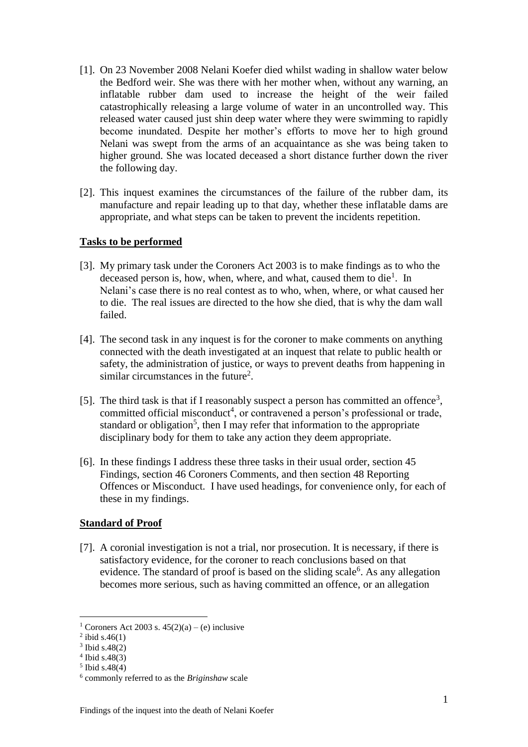- [1]. On 23 November 2008 Nelani Koefer died whilst wading in shallow water below the Bedford weir. She was there with her mother when, without any warning, an inflatable rubber dam used to increase the height of the weir failed catastrophically releasing a large volume of water in an uncontrolled way. This released water caused just shin deep water where they were swimming to rapidly become inundated. Despite her mother's efforts to move her to high ground Nelani was swept from the arms of an acquaintance as she was being taken to higher ground. She was located deceased a short distance further down the river the following day.
- [2]. This inquest examines the circumstances of the failure of the rubber dam, its manufacture and repair leading up to that day, whether these inflatable dams are appropriate, and what steps can be taken to prevent the incidents repetition.

#### **Tasks to be performed**

- [3]. My primary task under the Coroners Act 2003 is to make findings as to who the deceased person is, how, when, where, and what, caused them to die<sup>1</sup>. In Nelani's case there is no real contest as to who, when, where, or what caused her to die. The real issues are directed to the how she died, that is why the dam wall failed.
- [4]. The second task in any inquest is for the coroner to make comments on anything connected with the death investigated at an inquest that relate to public health or safety, the administration of justice, or ways to prevent deaths from happening in similar circumstances in the future<sup>2</sup>.
- [5]. The third task is that if I reasonably suspect a person has committed an offence<sup>3</sup>, committed official misconduct<sup>4</sup>, or contravened a person's professional or trade, standard or obligation<sup>5</sup>, then I may refer that information to the appropriate disciplinary body for them to take any action they deem appropriate.
- [6]. In these findings I address these three tasks in their usual order, section 45 Findings, section 46 Coroners Comments, and then section 48 Reporting Offences or Misconduct. I have used headings, for convenience only, for each of these in my findings.

## **Standard of Proof**

[7]. A coronial investigation is not a trial, nor prosecution. It is necessary, if there is satisfactory evidence, for the coroner to reach conclusions based on that evidence. The standard of proof is based on the sliding scale<sup>6</sup>. As any allegation becomes more serious, such as having committed an offence, or an allegation

<sup>&</sup>lt;sup>1</sup> Coroners Act 2003 s.  $45(2)(a) - (e)$  inclusive

 $^{2}$  ibid s.46(1)

 $3$  Ibid s.48(2)

<sup>4</sup> Ibid s.48(3)

<sup>5</sup> Ibid s.48(4)

<sup>6</sup> commonly referred to as the *Briginshaw* scale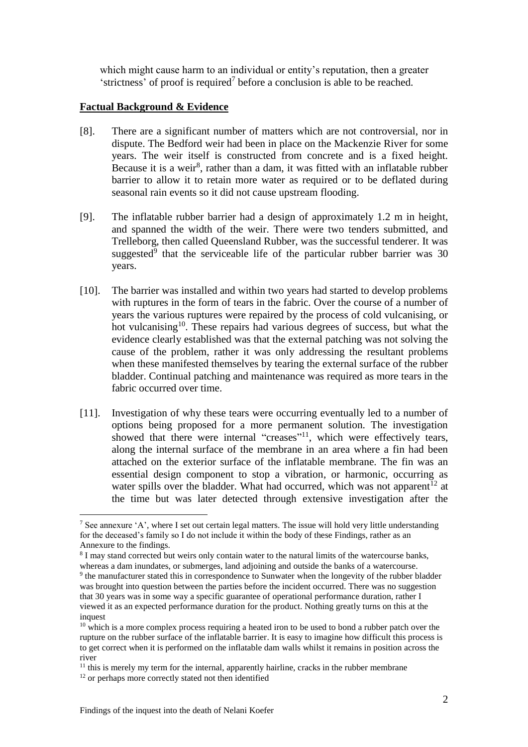which might cause harm to an individual or entity's reputation, then a greater 'strictness' of proof is required<sup>7</sup> before a conclusion is able to be reached.

### **Factual Background & Evidence**

- [8]. There are a significant number of matters which are not controversial, nor in dispute. The Bedford weir had been in place on the Mackenzie River for some years. The weir itself is constructed from concrete and is a fixed height. Because it is a weir<sup>8</sup>, rather than a dam, it was fitted with an inflatable rubber barrier to allow it to retain more water as required or to be deflated during seasonal rain events so it did not cause upstream flooding.
- [9]. The inflatable rubber barrier had a design of approximately 1.2 m in height, and spanned the width of the weir. There were two tenders submitted, and Trelleborg, then called Queensland Rubber, was the successful tenderer. It was suggested<sup>9</sup> that the serviceable life of the particular rubber barrier was  $30$ years.
- [10]. The barrier was installed and within two years had started to develop problems with ruptures in the form of tears in the fabric. Over the course of a number of years the various ruptures were repaired by the process of cold vulcanising, or hot vulcanising<sup>10</sup>. These repairs had various degrees of success, but what the evidence clearly established was that the external patching was not solving the cause of the problem, rather it was only addressing the resultant problems when these manifested themselves by tearing the external surface of the rubber bladder. Continual patching and maintenance was required as more tears in the fabric occurred over time.
- [11]. Investigation of why these tears were occurring eventually led to a number of options being proposed for a more permanent solution. The investigation showed that there were internal "creases"<sup>11</sup>, which were effectively tears, along the internal surface of the membrane in an area where a fin had been attached on the exterior surface of the inflatable membrane. The fin was an essential design component to stop a vibration, or harmonic, occurring as water spills over the bladder. What had occurred, which was not apparent<sup>12</sup> at the time but was later detected through extensive investigation after the

<sup>7</sup> See annexure 'A', where I set out certain legal matters. The issue will hold very little understanding for the deceased's family so I do not include it within the body of these Findings, rather as an Annexure to the findings.

<sup>&</sup>lt;sup>8</sup> I may stand corrected but weirs only contain water to the natural limits of the watercourse banks, whereas a dam inundates, or submerges, land adjoining and outside the banks of a watercourse.

<sup>&</sup>lt;sup>9</sup> the manufacturer stated this in correspondence to Sunwater when the longevity of the rubber bladder was brought into question between the parties before the incident occurred. There was no suggestion that 30 years was in some way a specific guarantee of operational performance duration, rather I viewed it as an expected performance duration for the product. Nothing greatly turns on this at the inquest

 $10$  which is a more complex process requiring a heated iron to be used to bond a rubber patch over the rupture on the rubber surface of the inflatable barrier. It is easy to imagine how difficult this process is to get correct when it is performed on the inflatable dam walls whilst it remains in position across the river

 $<sup>11</sup>$  this is merely my term for the internal, apparently hairline, cracks in the rubber membrane</sup>

<sup>&</sup>lt;sup>12</sup> or perhaps more correctly stated not then identified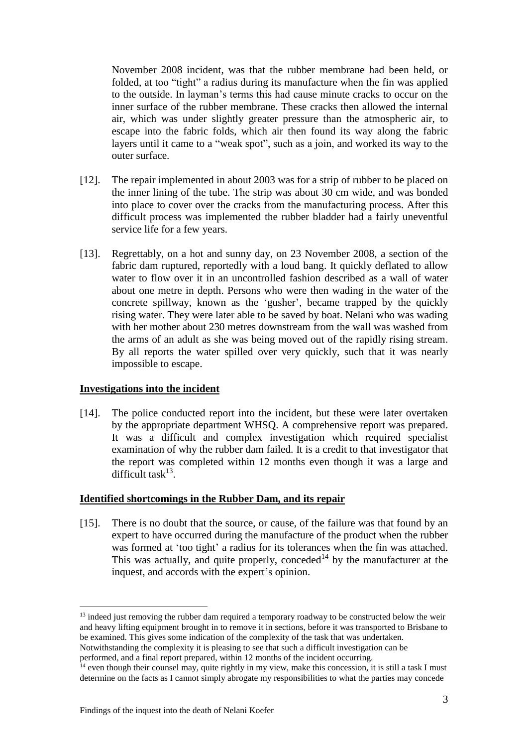November 2008 incident, was that the rubber membrane had been held, or folded, at too "tight" a radius during its manufacture when the fin was applied to the outside. In layman's terms this had cause minute cracks to occur on the inner surface of the rubber membrane. These cracks then allowed the internal air, which was under slightly greater pressure than the atmospheric air, to escape into the fabric folds, which air then found its way along the fabric layers until it came to a "weak spot", such as a join, and worked its way to the outer surface.

- [12]. The repair implemented in about 2003 was for a strip of rubber to be placed on the inner lining of the tube. The strip was about 30 cm wide, and was bonded into place to cover over the cracks from the manufacturing process. After this difficult process was implemented the rubber bladder had a fairly uneventful service life for a few years.
- [13]. Regrettably, on a hot and sunny day, on 23 November 2008, a section of the fabric dam ruptured, reportedly with a loud bang. It quickly deflated to allow water to flow over it in an uncontrolled fashion described as a wall of water about one metre in depth. Persons who were then wading in the water of the concrete spillway, known as the 'gusher', became trapped by the quickly rising water. They were later able to be saved by boat. Nelani who was wading with her mother about 230 metres downstream from the wall was washed from the arms of an adult as she was being moved out of the rapidly rising stream. By all reports the water spilled over very quickly, such that it was nearly impossible to escape.

#### **Investigations into the incident**

1

[14]. The police conducted report into the incident, but these were later overtaken by the appropriate department WHSQ. A comprehensive report was prepared. It was a difficult and complex investigation which required specialist examination of why the rubber dam failed. It is a credit to that investigator that the report was completed within 12 months even though it was a large and difficult task $^{13}$ .

#### **Identified shortcomings in the Rubber Dam, and its repair**

[15]. There is no doubt that the source, or cause, of the failure was that found by an expert to have occurred during the manufacture of the product when the rubber was formed at 'too tight' a radius for its tolerances when the fin was attached. This was actually, and quite properly, conceded<sup>14</sup> by the manufacturer at the inquest, and accords with the expert's opinion.

<sup>&</sup>lt;sup>13</sup> indeed just removing the rubber dam required a temporary roadway to be constructed below the weir and heavy lifting equipment brought in to remove it in sections, before it was transported to Brisbane to be examined. This gives some indication of the complexity of the task that was undertaken.

Notwithstanding the complexity it is pleasing to see that such a difficult investigation can be performed, and a final report prepared, within 12 months of the incident occurring.

 $14$  even though their counsel may, quite rightly in my view, make this concession, it is still a task I must determine on the facts as I cannot simply abrogate my responsibilities to what the parties may concede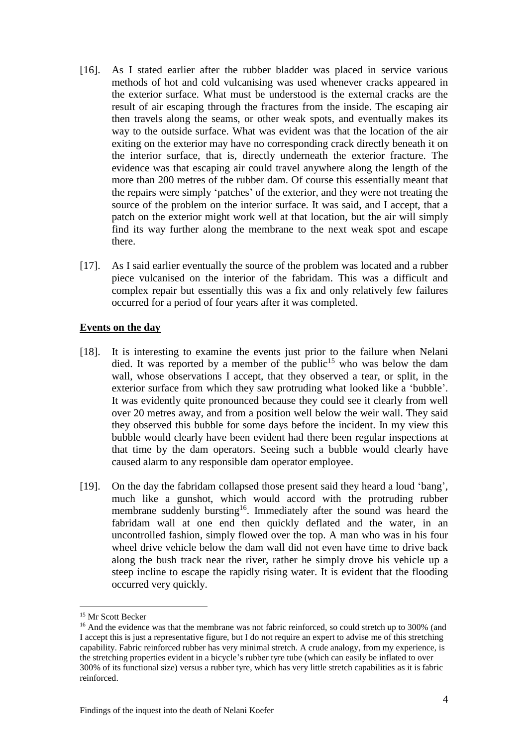- [16]. As I stated earlier after the rubber bladder was placed in service various methods of hot and cold vulcanising was used whenever cracks appeared in the exterior surface. What must be understood is the external cracks are the result of air escaping through the fractures from the inside. The escaping air then travels along the seams, or other weak spots, and eventually makes its way to the outside surface. What was evident was that the location of the air exiting on the exterior may have no corresponding crack directly beneath it on the interior surface, that is, directly underneath the exterior fracture. The evidence was that escaping air could travel anywhere along the length of the more than 200 metres of the rubber dam. Of course this essentially meant that the repairs were simply 'patches' of the exterior, and they were not treating the source of the problem on the interior surface. It was said, and I accept, that a patch on the exterior might work well at that location, but the air will simply find its way further along the membrane to the next weak spot and escape there.
- [17]. As I said earlier eventually the source of the problem was located and a rubber piece vulcanised on the interior of the fabridam. This was a difficult and complex repair but essentially this was a fix and only relatively few failures occurred for a period of four years after it was completed.

## **Events on the day**

- [18]. It is interesting to examine the events just prior to the failure when Nelani died. It was reported by a member of the public<sup>15</sup> who was below the dam wall, whose observations I accept, that they observed a tear, or split, in the exterior surface from which they saw protruding what looked like a 'bubble'. It was evidently quite pronounced because they could see it clearly from well over 20 metres away, and from a position well below the weir wall. They said they observed this bubble for some days before the incident. In my view this bubble would clearly have been evident had there been regular inspections at that time by the dam operators. Seeing such a bubble would clearly have caused alarm to any responsible dam operator employee.
- [19]. On the day the fabridam collapsed those present said they heard a loud 'bang', much like a gunshot, which would accord with the protruding rubber membrane suddenly bursting<sup>16</sup>. Immediately after the sound was heard the fabridam wall at one end then quickly deflated and the water, in an uncontrolled fashion, simply flowed over the top. A man who was in his four wheel drive vehicle below the dam wall did not even have time to drive back along the bush track near the river, rather he simply drove his vehicle up a steep incline to escape the rapidly rising water. It is evident that the flooding occurred very quickly.

<sup>&</sup>lt;sup>15</sup> Mr Scott Becker

<sup>&</sup>lt;sup>16</sup> And the evidence was that the membrane was not fabric reinforced, so could stretch up to 300% (and I accept this is just a representative figure, but I do not require an expert to advise me of this stretching capability. Fabric reinforced rubber has very minimal stretch. A crude analogy, from my experience, is the stretching properties evident in a bicycle's rubber tyre tube (which can easily be inflated to over 300% of its functional size) versus a rubber tyre, which has very little stretch capabilities as it is fabric reinforced.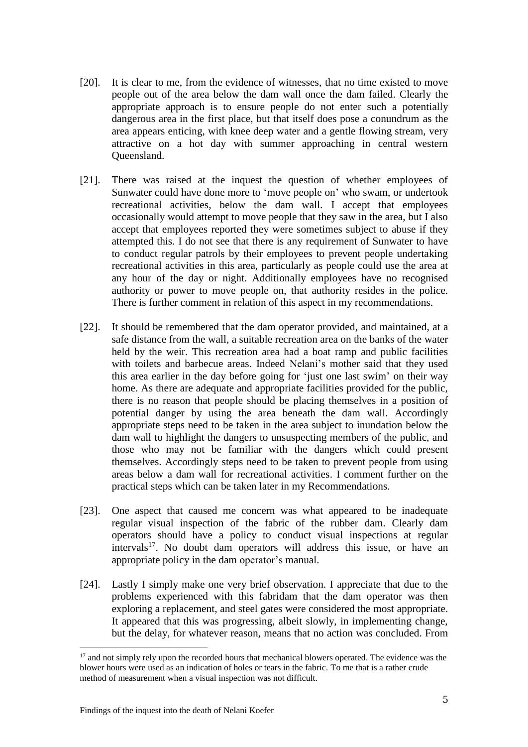- [20]. It is clear to me, from the evidence of witnesses, that no time existed to move people out of the area below the dam wall once the dam failed. Clearly the appropriate approach is to ensure people do not enter such a potentially dangerous area in the first place, but that itself does pose a conundrum as the area appears enticing, with knee deep water and a gentle flowing stream, very attractive on a hot day with summer approaching in central western Queensland.
- [21]. There was raised at the inquest the question of whether employees of Sunwater could have done more to 'move people on' who swam, or undertook recreational activities, below the dam wall. I accept that employees occasionally would attempt to move people that they saw in the area, but I also accept that employees reported they were sometimes subject to abuse if they attempted this. I do not see that there is any requirement of Sunwater to have to conduct regular patrols by their employees to prevent people undertaking recreational activities in this area, particularly as people could use the area at any hour of the day or night. Additionally employees have no recognised authority or power to move people on, that authority resides in the police. There is further comment in relation of this aspect in my recommendations.
- [22]. It should be remembered that the dam operator provided, and maintained, at a safe distance from the wall, a suitable recreation area on the banks of the water held by the weir. This recreation area had a boat ramp and public facilities with toilets and barbecue areas. Indeed Nelani's mother said that they used this area earlier in the day before going for 'just one last swim' on their way home. As there are adequate and appropriate facilities provided for the public, there is no reason that people should be placing themselves in a position of potential danger by using the area beneath the dam wall. Accordingly appropriate steps need to be taken in the area subject to inundation below the dam wall to highlight the dangers to unsuspecting members of the public, and those who may not be familiar with the dangers which could present themselves. Accordingly steps need to be taken to prevent people from using areas below a dam wall for recreational activities. I comment further on the practical steps which can be taken later in my Recommendations.
- [23]. One aspect that caused me concern was what appeared to be inadequate regular visual inspection of the fabric of the rubber dam. Clearly dam operators should have a policy to conduct visual inspections at regular intervals<sup>17</sup>. No doubt dam operators will address this issue, or have an appropriate policy in the dam operator's manual.
- [24]. Lastly I simply make one very brief observation. I appreciate that due to the problems experienced with this fabridam that the dam operator was then exploring a replacement, and steel gates were considered the most appropriate. It appeared that this was progressing, albeit slowly, in implementing change, but the delay, for whatever reason, means that no action was concluded. From

<u>.</u>

<sup>&</sup>lt;sup>17</sup> and not simply rely upon the recorded hours that mechanical blowers operated. The evidence was the blower hours were used as an indication of holes or tears in the fabric. To me that is a rather crude method of measurement when a visual inspection was not difficult.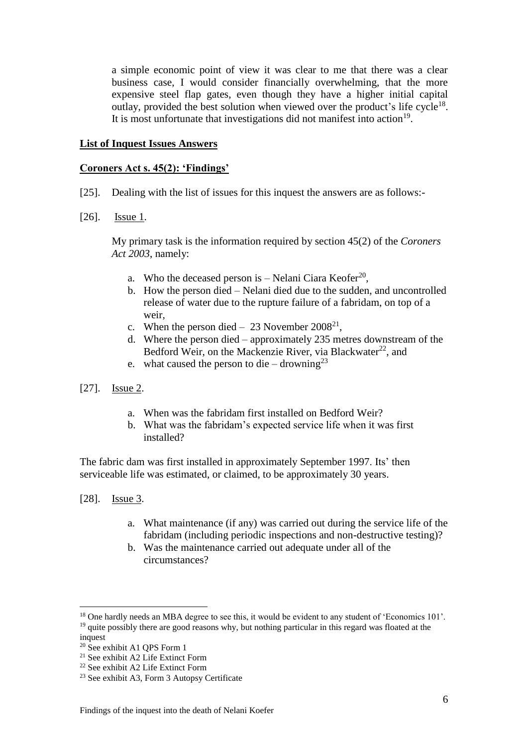a simple economic point of view it was clear to me that there was a clear business case, I would consider financially overwhelming, that the more expensive steel flap gates, even though they have a higher initial capital outlay, provided the best solution when viewed over the product's life cycle<sup>18</sup>. It is most unfortunate that investigations did not manifest into action<sup>19</sup>.

#### **List of Inquest Issues Answers**

#### **Coroners Act s. 45(2): 'Findings'**

- [25]. Dealing with the list of issues for this inquest the answers are as follows:-
- [26]. **Issue 1.**

My primary task is the information required by section 45(2) of the *Coroners Act 2003*, namely:

- a. Who the deceased person is  $-$  Nelani Ciara Keofer<sup>20</sup>,
- b. How the person died Nelani died due to the sudden, and uncontrolled release of water due to the rupture failure of a fabridam, on top of a weir,
- c. When the person died  $-23$  November 2008<sup>21</sup>,
- d. Where the person died approximately 235 metres downstream of the Bedford Weir, on the Mackenzie River, via Blackwater<sup>22</sup>, and
- e. what caused the person to die drowning<sup>23</sup>
- [27]. **Issue 2.** 
	- a. When was the fabridam first installed on Bedford Weir?
	- b. What was the fabridam's expected service life when it was first installed?

The fabric dam was first installed in approximately September 1997. Its' then serviceable life was estimated, or claimed, to be approximately 30 years.

[28]. Issue 3.

- a. What maintenance (if any) was carried out during the service life of the fabridam (including periodic inspections and non-destructive testing)?
- b. Was the maintenance carried out adequate under all of the circumstances?

<sup>&</sup>lt;sup>18</sup> One hardly needs an MBA degree to see this, it would be evident to any student of 'Economics 101'. <sup>19</sup> quite possibly there are good reasons why, but nothing particular in this regard was floated at the inquest

<sup>20</sup> See exhibit A1 QPS Form 1

<sup>21</sup> See exhibit A2 Life Extinct Form

<sup>22</sup> See exhibit A2 Life Extinct Form

<sup>23</sup> See exhibit A3, Form 3 Autopsy Certificate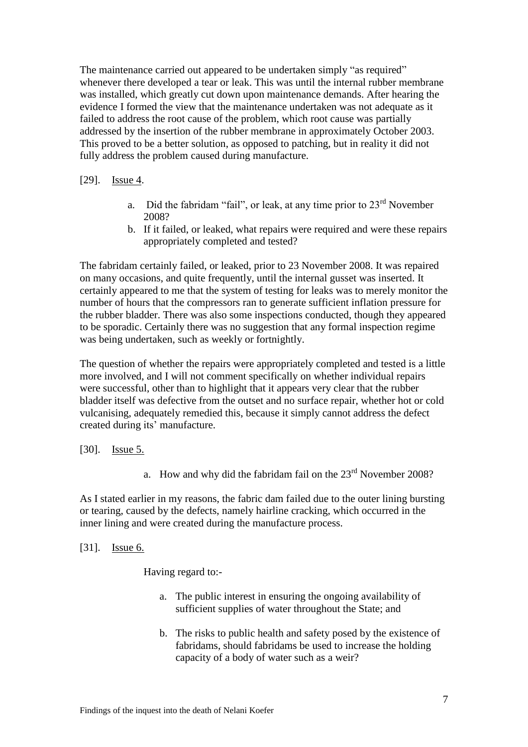The maintenance carried out appeared to be undertaken simply "as required" whenever there developed a tear or leak. This was until the internal rubber membrane was installed, which greatly cut down upon maintenance demands. After hearing the evidence I formed the view that the maintenance undertaken was not adequate as it failed to address the root cause of the problem, which root cause was partially addressed by the insertion of the rubber membrane in approximately October 2003. This proved to be a better solution, as opposed to patching, but in reality it did not fully address the problem caused during manufacture.

## [29]. **Issue 4.**

- a. Did the fabridam "fail", or leak, at any time prior to 23rd November 2008?
- b. If it failed, or leaked, what repairs were required and were these repairs appropriately completed and tested?

The fabridam certainly failed, or leaked, prior to 23 November 2008. It was repaired on many occasions, and quite frequently, until the internal gusset was inserted. It certainly appeared to me that the system of testing for leaks was to merely monitor the number of hours that the compressors ran to generate sufficient inflation pressure for the rubber bladder. There was also some inspections conducted, though they appeared to be sporadic. Certainly there was no suggestion that any formal inspection regime was being undertaken, such as weekly or fortnightly.

The question of whether the repairs were appropriately completed and tested is a little more involved, and I will not comment specifically on whether individual repairs were successful, other than to highlight that it appears very clear that the rubber bladder itself was defective from the outset and no surface repair, whether hot or cold vulcanising, adequately remedied this, because it simply cannot address the defect created during its' manufacture.

## [30]. **Issue 5.**

a. How and why did the fabridam fail on the 23rd November 2008?

As I stated earlier in my reasons, the fabric dam failed due to the outer lining bursting or tearing, caused by the defects, namely hairline cracking, which occurred in the inner lining and were created during the manufacture process.

#### [31]. Issue 6.

Having regard to:-

- a. The public interest in ensuring the ongoing availability of sufficient supplies of water throughout the State; and
- b. The risks to public health and safety posed by the existence of fabridams, should fabridams be used to increase the holding capacity of a body of water such as a weir?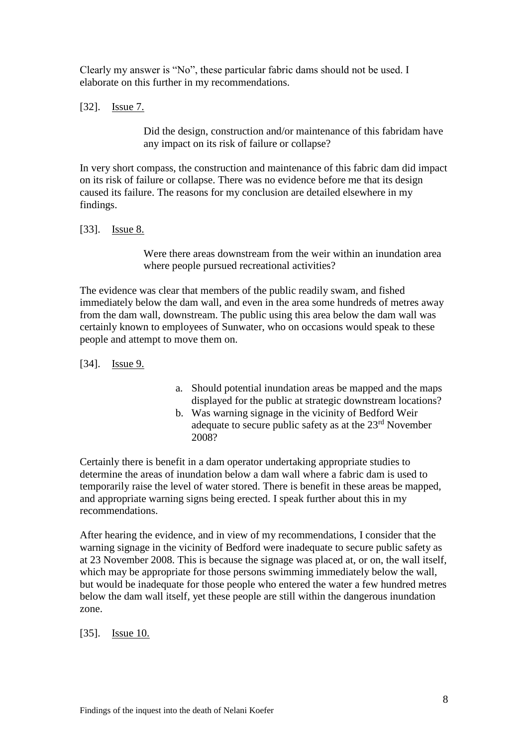Clearly my answer is "No", these particular fabric dams should not be used. I elaborate on this further in my recommendations.

## [32]. Issue 7.

Did the design, construction and/or maintenance of this fabridam have any impact on its risk of failure or collapse?

In very short compass, the construction and maintenance of this fabric dam did impact on its risk of failure or collapse. There was no evidence before me that its design caused its failure. The reasons for my conclusion are detailed elsewhere in my findings.

#### [33]. **Issue 8.**

Were there areas downstream from the weir within an inundation area where people pursued recreational activities?

The evidence was clear that members of the public readily swam, and fished immediately below the dam wall, and even in the area some hundreds of metres away from the dam wall, downstream. The public using this area below the dam wall was certainly known to employees of Sunwater, who on occasions would speak to these people and attempt to move them on.

- [34]. **Issue 9.**
- a. Should potential inundation areas be mapped and the maps displayed for the public at strategic downstream locations?
- b. Was warning signage in the vicinity of Bedford Weir adequate to secure public safety as at the 23rd November 2008?

Certainly there is benefit in a dam operator undertaking appropriate studies to determine the areas of inundation below a dam wall where a fabric dam is used to temporarily raise the level of water stored. There is benefit in these areas be mapped, and appropriate warning signs being erected. I speak further about this in my recommendations.

After hearing the evidence, and in view of my recommendations, I consider that the warning signage in the vicinity of Bedford were inadequate to secure public safety as at 23 November 2008. This is because the signage was placed at, or on, the wall itself, which may be appropriate for those persons swimming immediately below the wall, but would be inadequate for those people who entered the water a few hundred metres below the dam wall itself, yet these people are still within the dangerous inundation zone.

[35]. **Issue 10.**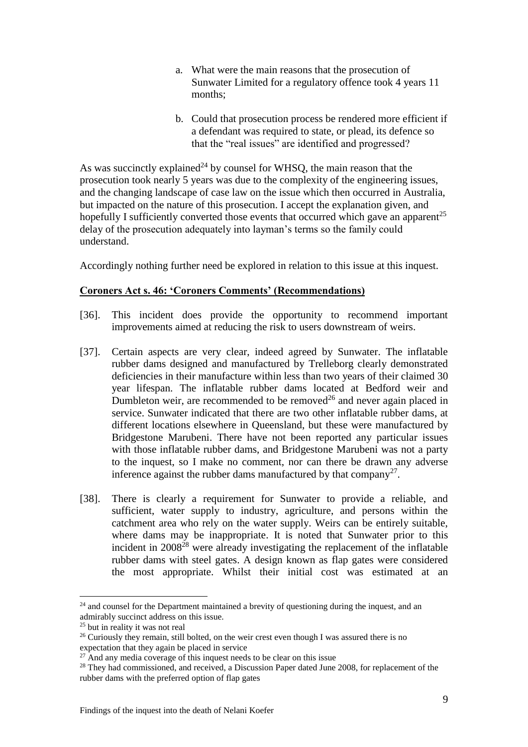- a. What were the main reasons that the prosecution of Sunwater Limited for a regulatory offence took 4 years 11 months;
- b. Could that prosecution process be rendered more efficient if a defendant was required to state, or plead, its defence so that the "real issues" are identified and progressed?

As was succinctly explained<sup>24</sup> by counsel for WHSQ, the main reason that the prosecution took nearly 5 years was due to the complexity of the engineering issues, and the changing landscape of case law on the issue which then occurred in Australia, but impacted on the nature of this prosecution. I accept the explanation given, and hopefully I sufficiently converted those events that occurred which gave an apparent<sup>25</sup> delay of the prosecution adequately into layman's terms so the family could understand.

Accordingly nothing further need be explored in relation to this issue at this inquest.

## **Coroners Act s. 46: 'Coroners Comments' (Recommendations)**

- [36]. This incident does provide the opportunity to recommend important improvements aimed at reducing the risk to users downstream of weirs.
- [37]. Certain aspects are very clear, indeed agreed by Sunwater. The inflatable rubber dams designed and manufactured by Trelleborg clearly demonstrated deficiencies in their manufacture within less than two years of their claimed 30 year lifespan. The inflatable rubber dams located at Bedford weir and Dumbleton weir, are recommended to be removed<sup>26</sup> and never again placed in service. Sunwater indicated that there are two other inflatable rubber dams, at different locations elsewhere in Queensland, but these were manufactured by Bridgestone Marubeni. There have not been reported any particular issues with those inflatable rubber dams, and Bridgestone Marubeni was not a party to the inquest, so I make no comment, nor can there be drawn any adverse inference against the rubber dams manufactured by that company<sup>27</sup>.
- [38]. There is clearly a requirement for Sunwater to provide a reliable, and sufficient, water supply to industry, agriculture, and persons within the catchment area who rely on the water supply. Weirs can be entirely suitable, where dams may be inappropriate. It is noted that Sunwater prior to this incident in  $2008^{28}$  were already investigating the replacement of the inflatable rubber dams with steel gates. A design known as flap gates were considered the most appropriate. Whilst their initial cost was estimated at an

<sup>&</sup>lt;sup>24</sup> and counsel for the Department maintained a brevity of questioning during the inquest, and an admirably succinct address on this issue.

<sup>&</sup>lt;sup>25</sup> but in reality it was not real

<sup>&</sup>lt;sup>26</sup> Curiously they remain, still bolted, on the weir crest even though I was assured there is no expectation that they again be placed in service

 $27$  And any media coverage of this inquest needs to be clear on this issue

<sup>&</sup>lt;sup>28</sup> They had commissioned, and received, a Discussion Paper dated June 2008, for replacement of the rubber dams with the preferred option of flap gates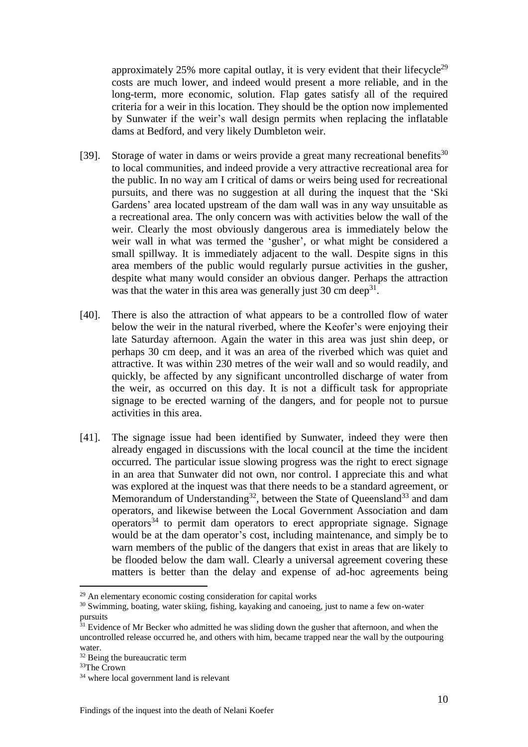approximately  $25\%$  more capital outlay, it is very evident that their lifecycle<sup>29</sup> costs are much lower, and indeed would present a more reliable, and in the long-term, more economic, solution. Flap gates satisfy all of the required criteria for a weir in this location. They should be the option now implemented by Sunwater if the weir's wall design permits when replacing the inflatable dams at Bedford, and very likely Dumbleton weir.

- [39]. Storage of water in dams or weirs provide a great many recreational benefits<sup>30</sup> to local communities, and indeed provide a very attractive recreational area for the public. In no way am I critical of dams or weirs being used for recreational pursuits, and there was no suggestion at all during the inquest that the 'Ski Gardens' area located upstream of the dam wall was in any way unsuitable as a recreational area. The only concern was with activities below the wall of the weir. Clearly the most obviously dangerous area is immediately below the weir wall in what was termed the 'gusher', or what might be considered a small spillway. It is immediately adjacent to the wall. Despite signs in this area members of the public would regularly pursue activities in the gusher, despite what many would consider an obvious danger. Perhaps the attraction was that the water in this area was generally just  $30 \text{ cm deep}^{31}$ .
- [40]. There is also the attraction of what appears to be a controlled flow of water below the weir in the natural riverbed, where the Keofer's were enjoying their late Saturday afternoon. Again the water in this area was just shin deep, or perhaps 30 cm deep, and it was an area of the riverbed which was quiet and attractive. It was within 230 metres of the weir wall and so would readily, and quickly, be affected by any significant uncontrolled discharge of water from the weir, as occurred on this day. It is not a difficult task for appropriate signage to be erected warning of the dangers, and for people not to pursue activities in this area.
- [41]. The signage issue had been identified by Sunwater, indeed they were then already engaged in discussions with the local council at the time the incident occurred. The particular issue slowing progress was the right to erect signage in an area that Sunwater did not own, nor control. I appreciate this and what was explored at the inquest was that there needs to be a standard agreement, or Memorandum of Understanding<sup>32</sup>, between the State of Queensland<sup>33</sup> and dam operators, and likewise between the Local Government Association and dam  $o$  perators<sup>34</sup> to permit dam operators to erect appropriate signage. Signage would be at the dam operator's cost, including maintenance, and simply be to warn members of the public of the dangers that exist in areas that are likely to be flooded below the dam wall. Clearly a universal agreement covering these matters is better than the delay and expense of ad-hoc agreements being

<u>.</u>

<sup>29</sup> An elementary economic costing consideration for capital works

<sup>&</sup>lt;sup>30</sup> Swimming, boating, water skiing, fishing, kayaking and canoeing, just to name a few on-water pursuits

<sup>&</sup>lt;sup>31</sup> Evidence of Mr Becker who admitted he was sliding down the gusher that afternoon, and when the uncontrolled release occurred he, and others with him, became trapped near the wall by the outpouring water.

<sup>&</sup>lt;sup>32</sup> Being the bureaucratic term

<sup>33</sup>The Crown

<sup>34</sup> where local government land is relevant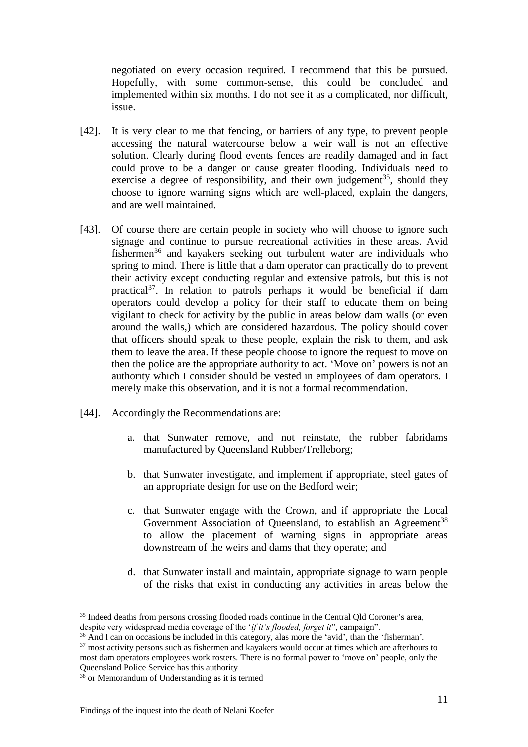negotiated on every occasion required. I recommend that this be pursued. Hopefully, with some common-sense, this could be concluded and implemented within six months. I do not see it as a complicated, nor difficult, issue.

- [42]. It is very clear to me that fencing, or barriers of any type, to prevent people accessing the natural watercourse below a weir wall is not an effective solution. Clearly during flood events fences are readily damaged and in fact could prove to be a danger or cause greater flooding. Individuals need to exercise a degree of responsibility, and their own judgement<sup>35</sup>, should they choose to ignore warning signs which are well-placed, explain the dangers, and are well maintained.
- [43]. Of course there are certain people in society who will choose to ignore such signage and continue to pursue recreational activities in these areas. Avid fishermen<sup>36</sup> and kayakers seeking out turbulent water are individuals who spring to mind. There is little that a dam operator can practically do to prevent their activity except conducting regular and extensive patrols, but this is not practical<sup>37</sup>. In relation to patrols perhaps it would be beneficial if dam operators could develop a policy for their staff to educate them on being vigilant to check for activity by the public in areas below dam walls (or even around the walls,) which are considered hazardous. The policy should cover that officers should speak to these people, explain the risk to them, and ask them to leave the area. If these people choose to ignore the request to move on then the police are the appropriate authority to act. 'Move on' powers is not an authority which I consider should be vested in employees of dam operators. I merely make this observation, and it is not a formal recommendation.
- [44]. Accordingly the Recommendations are:
	- a. that Sunwater remove, and not reinstate, the rubber fabridams manufactured by Queensland Rubber/Trelleborg;
	- b. that Sunwater investigate, and implement if appropriate, steel gates of an appropriate design for use on the Bedford weir;
	- c. that Sunwater engage with the Crown, and if appropriate the Local Government Association of Queensland, to establish an Agreement<sup>38</sup> to allow the placement of warning signs in appropriate areas downstream of the weirs and dams that they operate; and
	- d. that Sunwater install and maintain, appropriate signage to warn people of the risks that exist in conducting any activities in areas below the

<sup>&</sup>lt;sup>35</sup> Indeed deaths from persons crossing flooded roads continue in the Central Qld Coroner's area, despite very widespread media coverage of the '*if it's flooded, forget it*", campaign".

<sup>36</sup> And I can on occasions be included in this category, alas more the 'avid', than the 'fisherman'.

 $37$  most activity persons such as fishermen and kayakers would occur at times which are afterhours to most dam operators employees work rosters. There is no formal power to 'move on' people, only the Queensland Police Service has this authority

 $38$  or Memorandum of Understanding as it is termed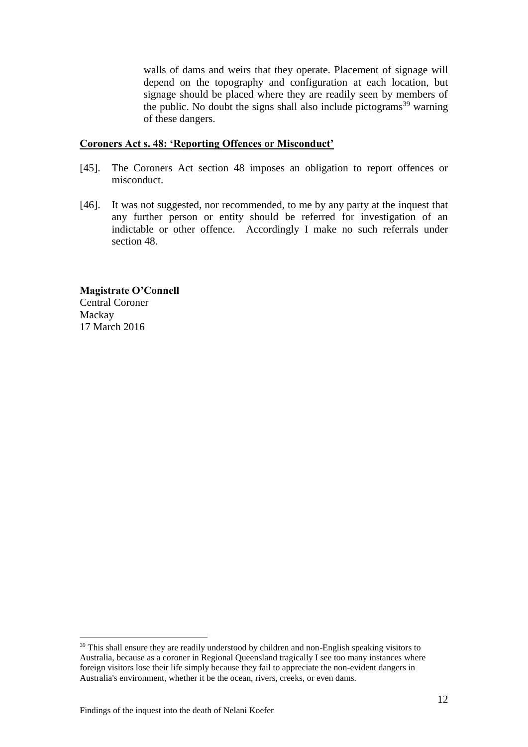walls of dams and weirs that they operate. Placement of signage will depend on the topography and configuration at each location, but signage should be placed where they are readily seen by members of the public. No doubt the signs shall also include pictograms<sup>39</sup> warning of these dangers.

#### **Coroners Act s. 48: 'Reporting Offences or Misconduct'**

- [45]. The Coroners Act section 48 imposes an obligation to report offences or misconduct.
- [46]. It was not suggested, nor recommended, to me by any party at the inquest that any further person or entity should be referred for investigation of an indictable or other offence. Accordingly I make no such referrals under section 48.

**Magistrate O'Connell** Central Coroner Mackay 17 March 2016

 $39$  This shall ensure they are readily understood by children and non-English speaking visitors to Australia, because as a coroner in Regional Queensland tragically I see too many instances where foreign visitors lose their life simply because they fail to appreciate the non-evident dangers in Australia's environment, whether it be the ocean, rivers, creeks, or even dams.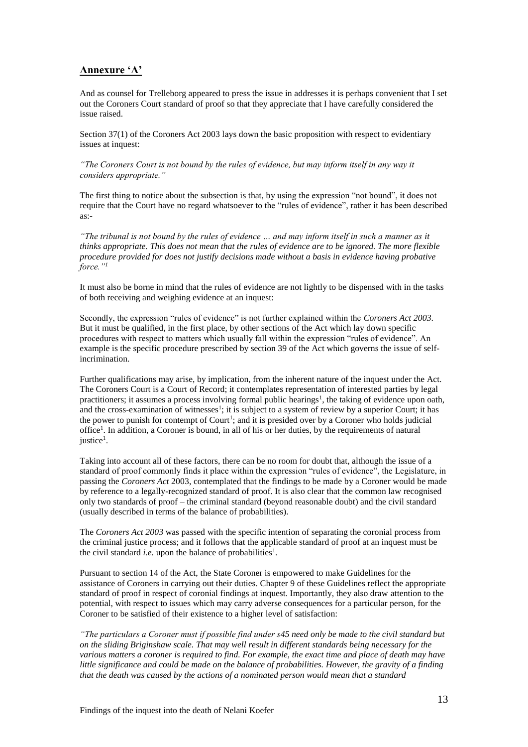### **Annexure 'A'**

And as counsel for Trelleborg appeared to press the issue in addresses it is perhaps convenient that I set out the Coroners Court standard of proof so that they appreciate that I have carefully considered the issue raised.

Section 37(1) of the Coroners Act 2003 lays down the basic proposition with respect to evidentiary issues at inquest:

*"The Coroners Court is not bound by the rules of evidence, but may inform itself in any way it considers appropriate."*

The first thing to notice about the subsection is that, by using the expression "not bound", it does not require that the Court have no regard whatsoever to the "rules of evidence", rather it has been described as:-

*"The tribunal is not bound by the rules of evidence … and may inform itself in such a manner as it thinks appropriate. This does not mean that the rules of evidence are to be ignored. The more flexible procedure provided for does not justify decisions made without a basis in evidence having probative force."<sup>1</sup>*

It must also be borne in mind that the rules of evidence are not lightly to be dispensed with in the tasks of both receiving and weighing evidence at an inquest:

Secondly, the expression "rules of evidence" is not further explained within the *Coroners Act 2003*. But it must be qualified, in the first place, by other sections of the Act which lay down specific procedures with respect to matters which usually fall within the expression "rules of evidence". An example is the specific procedure prescribed by section 39 of the Act which governs the issue of selfincrimination.

Further qualifications may arise, by implication, from the inherent nature of the inquest under the Act. The Coroners Court is a Court of Record; it contemplates representation of interested parties by legal practitioners; it assumes a process involving formal public hearings<sup>1</sup>, the taking of evidence upon oath, and the cross-examination of witnesses<sup>1</sup>; it is subject to a system of review by a superior Court; it has the power to punish for contempt of  $Count<sup>1</sup>$ ; and it is presided over by a Coroner who holds judicial office<sup>1</sup>. In addition, a Coroner is bound, in all of his or her duties, by the requirements of natural justice<sup>1</sup>.

Taking into account all of these factors, there can be no room for doubt that, although the issue of a standard of proof commonly finds it place within the expression "rules of evidence", the Legislature, in passing the *Coroners Act* 2003, contemplated that the findings to be made by a Coroner would be made by reference to a legally-recognized standard of proof. It is also clear that the common law recognised only two standards of proof – the criminal standard (beyond reasonable doubt) and the civil standard (usually described in terms of the balance of probabilities).

The *Coroners Act 2003* was passed with the specific intention of separating the coronial process from the criminal justice process; and it follows that the applicable standard of proof at an inquest must be the civil standard *i.e.* upon the balance of probabilities<sup>1</sup>.

Pursuant to section 14 of the Act, the State Coroner is empowered to make Guidelines for the assistance of Coroners in carrying out their duties. Chapter 9 of these Guidelines reflect the appropriate standard of proof in respect of coronial findings at inquest. Importantly, they also draw attention to the potential, with respect to issues which may carry adverse consequences for a particular person, for the Coroner to be satisfied of their existence to a higher level of satisfaction:

*"The particulars a Coroner must if possible find under s45 need only be made to the civil standard but on the sliding Briginshaw scale. That may well result in different standards being necessary for the various matters a coroner is required to find. For example, the exact time and place of death may have little significance and could be made on the balance of probabilities. However, the gravity of a finding that the death was caused by the actions of a nominated person would mean that a standard*